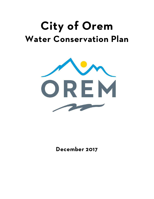# **City of Orem Water Conservation Plan**



**December 2017**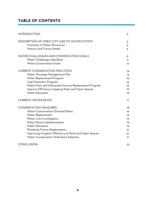# **TABLE OF CONTENTS**

| <b>INTRODUCTION</b>                                      | 3   |
|----------------------------------------------------------|-----|
| DESCRIPTION OF OREM CITY AND ITS WATER SYSTEM            | 3   |
| Inventory of Water Resources                             | 4   |
| <b>Historic and Future Needs</b>                         | 6   |
| WATER CHALLENGES AND CONSERVATION GOALS                  | 9   |
| Water Challenges Identified                              | 11. |
| <b>Water Conservation Goals</b>                          | 12  |
| <b>CURRENT CONSERVATION PRACTICES</b>                    | 14  |
| Water Shortage Management Plan                           | 14  |
| Meter Replacement Program                                | 15  |
| <b>Leak Detection Program</b>                            | 15  |
| Water Main and Galvanized Service Replacement Program    | 16  |
| Improve Efficiency Irrigating Parks and Open Spaces      | 16  |
| <b>Public Education</b>                                  | 16  |
| <b>CURRENT WATER RATES</b>                               | 17  |
| <b>CONSERVATION MEASURES</b>                             | 18  |
| <b>Water Conservation-Oriented Rates</b>                 | 19  |
| Meter Replacement                                        | 19  |
| Water Loss Investigation                                 | 19  |
| Water Reuse Implementation                               | 19  |
| <b>Public Education</b>                                  | 19  |
| Plumbing Fixture Replacement                             | 21  |
| Improving Irrigation Efficiency at Parks and Open Spaces | 21  |
| <b>Water Conservation Ordinance Adoption</b>             | 21  |
| <b>CONCLUSION</b>                                        | 22  |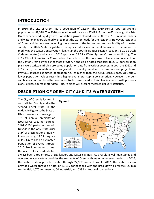# **INTRODUCTION**

In 1960, the City of Orem had a population of 18,394. The 2010 census reported Orem's population at 88,328. The 2016 population estimate was 97,499. From the 60s through the 90s, Orem experienced rapid growth. Population growth slowed from 2000 to 2010. Previous leaders and water managers planned well to meet the water needs for the residents. However, residents of Orem and leaders are becoming more aware of the future cost and availability of its water supply. The Utah State Legislature reemphasized its commitment to water conservation by modifying the Water Conservation Plan Act in the 2004 legislative session (Section 73‐10‐32 Utah Code Annotated) and again in 2016 approving SB 28 – Water System Conservation Pricing. The 2017 City of Orem Water Conservation Plan addresses the concerns of leaders and residents of the City of Orem as well as the state of Utah. It should be noted that prior to 2012, conservation plans were written utilizing projected population data from varioussources. In both the 2012 and 2017 plans, the population data is adjusted to be in alignment with census data and projections. Previous sources estimated population figures higher than the actual census data. Obviously, lower population values result in a higher overall per-capita consumption. However, the percapita consumption trend has continued to decrease steadily. This plan, in concert with previous plans, utilizes source meter data. Future plans will present metered delivery statistics.

# **DESCRIPTION OF OREM CITY AND ITS WATER SYSTEM**

**Figure 1**

The City of Orem is located in central Utah County and in the second driest state in the nation. In Figure 1, the State of Utah receives an average of 13" of annual precipitation (source: US Weather Bureau, 1961 -1990 period of record). Nevada is the only state drier at 9" of precipitation annually. Encompassing 18.654 square miles, Orem has an estimated population of 97,499 through 2016. Providing water to meet the needs of its residents has



always been a top priority of city leaders and water planners. As a result, a well-maintained and operated water system provides the residents of Orem with water whenever needed. In 2016, the water system provided water through 22,902 connections. In 2017, the water system provided water through a total of 23,155 connections with the breakdown as follows: 20,888 residential, 1,675 commercial, 54 industrial, and 538 institutional connections.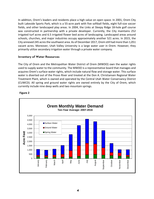In addition, Orem's leaders and residents place a high value on open space. In 2001, Orem City built Lakeside Sports Park, which is a 55‐acre park with five softball fields, eight full‐size soccer fields, and other landscaped play areas. In 2004, the Links at Sleepy Ridge 18‐hole golf course was constructed in partnership with a private developer. Currently, the City maintains 252 irrigated turf acres and 6.5 irrigated flower bed acres of landscaping. Landscaped areas around schools, churches, and major industries occupy approximately another 521 acres. In 2015, the City annexed 245 acresthe southwest area. As of December 2017, Orem still had more than 1,051 vacant acres. Moreover, Utah Valley University is a large water user in Orem. However, they primarily utilize secondary irrigation water through a private water company.

# **Inventory of Water Resources**

The City of Orem and the Metropolitan Water District of Orem (MWDO) own the water rights used to supply water to the community. The MWDO is a representative board that manages and acquires Orem's surface water rights, which include natural flow and storage water. This surface water is diverted out of the Provo River and treated at the Don A. Christiansen Regional Water Treatment Plant, which is owned and operated by the Central Utah Water Conservancy District (CUWCD). All spring and ground water rights are owned entirely by the City of Orem, which currently include nine deep wells and two mountain springs.



## **Figure 2**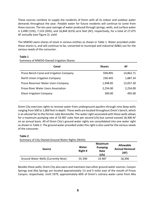These sources combine to supply the residents of Orem with all its indoor and outdoor water demands throughout the year. Potable water for future residents will continue to come from these sources. The ten‐year average of water produced through springs, wells, and surface water is 3,498 (13%), 7,133 (26%), and 16,844 (61%) acre feet (AF), respectively, for a total of 27,475 AF annually (see Figure 2). yield

The MWDO owns shares of stock in various entities as shown in Table 1. Water provided under these shares is, and will continue to be, converted to municipal and industrial (M&I) use for the various needs of the consumer.

#### **Table 1**

| Summary of MWDO-Owned Irrigation Shares |  |
|-----------------------------------------|--|
|                                         |  |

| Canal                                    | <b>Shares</b> | AF        |
|------------------------------------------|---------------|-----------|
| Provo Bench Canal and Irrigation Company | 938.895       | 14,862.71 |
| North Union Irrigation Company           | 230.445       | 1,887.34  |
| Provo Reservoir Water Users Company      | 1,948.85      | 13,057.30 |
| Provo River Water Users Association      | 2,254.00      | 2,254.00  |
| Dixon Irrigation Company                 | 300.00        | 495.00    |
|                                          |               |           |

Orem City exercises rights to remove water from underground aquifers through nine deep wells ranging from 500 to 1,000 feet in depth. These wells are located throughout Orem's bench, which is an alluvial fan to the former Lake Bonneville. The water right associated with these wells allows for a maximum pumping rate of 33.487 cubic feet per second (cfs) but cannot exceed 18,306 AF on an annual basis. All of Orem City's ground water rights are consolidated into one water right as shown in Table 2. The ground water provided under this right is also used for the various needs of the consumer.

## **Table 2**

Summary of City‐Owned Ground Water Rights (Wells)

| <b>Source</b>                       | Water<br>Right# | <b>Maximum</b><br><b>Pumping</b><br>Rate<br>(cfs) | <b>Allowable</b><br><b>Annual Removal</b><br>(AF) |
|-------------------------------------|-----------------|---------------------------------------------------|---------------------------------------------------|
| Ground Water Wells (Currently Nine) | 55-290          | 33.487                                            | 18,306                                            |

Besides these wells, Orem City also owns and maintains two other ground water sources. Canyon Springs and Alta Springs are located approximately 1½ and 5 miles east of the mouth of Provo Canyon, respectively. Until 1979, approximately 60% of Orem's culinary water came from Alta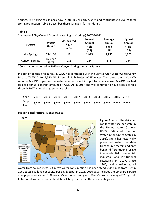Springs. This spring has its peak flow in late July or early August and contributes to 75% of total spring production. Table 3 describes these springs in further detail.

| <b>Source</b>         | <b>Water</b><br>Right# | <b>Associated</b><br><b>Right</b><br>(cfs) | Lowest<br>Annual<br>Yield<br>(AF) | Average<br>Annual<br>Yield<br>(AF) | <b>Highest</b><br><b>Annual</b><br>Yield<br>(AF) |
|-----------------------|------------------------|--------------------------------------------|-----------------------------------|------------------------------------|--------------------------------------------------|
| Alta Springs          | 55-4160                | 13                                         | 1,915                             | 2,950                              | 4,365                                            |
| <b>Canyon Springs</b> | 55-3767<br>55-79       | 2.2                                        | 254                               | 571                                | 764                                              |

# **Table 3** Summary of City‐Owned Ground Water Rights (Springs) 2007‐2016\*

\*Construction occurred in 2015 on Canyon Springs and Alta Springs.

In addition to these resources, MWDO has contracted with the Central Utah Water Conservancy District (CUWCD) for 7,520 AF of Central Utah Project (CUP) water. The contract with CUWCD requires MWDO to pay for the water whether or not it is put to beneficial use. MWDO reached its peak annual contract amount of 7,520 AF in 2017 and will continue to have access to this through 2047 when the agreement expires.

|                                                                                                                  | Year 2008 2009 2010 2011 2012 2013 2014 2015 2016 2017+ |  |  |  |  |  |
|------------------------------------------------------------------------------------------------------------------|---------------------------------------------------------|--|--|--|--|--|
| Acre-<br>Feet           3,020     3,520     4,020    4,520    5,020    5,520    6,020    6,520    7,020    7,520 |                                                         |  |  |  |  |  |

## **Historic and Future Water Needs**



Figure 3 depicts the daily per capita water use per state in the United States (source: USGS, Estimated Use of Water in the United States in 1995). Orem has historically presented water use data from source meters and only began differentiating usage into residential, commercial, industrial, and institutional categories in 2017. Since 1960, and considering all

water from source meters, Orem's water consumption has been steadily declining from 359 in 1960 to 254 gallons per capita per day (gpcpd) in 2016. 2016 data includes the Vineyard service area population shown in Figure 4. Over the past ten years, Orem's use has averaged 261 gpcpd. In future plans and reports, the data will be presented in these four categories.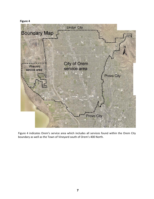# **Figure 4**



Figure 4 indicates Orem's service area which includes all services found within the Orem City boundary as well as the Town of Vineyard south of Orem's 400 North.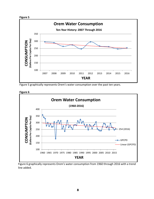



Figure 5 graphically represents Orem's water consumption over the past ten years.

**Figure 6**



Figure 6 graphically represents Orem's water consumption from 1960 through 2016 with a trend line added.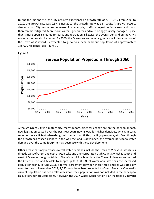During the 80s and 90s, the City of Orem experienced a growth rate of 2.0 ‐ 2.5%. From 2000 to 2010, the growth rate was 0.5%. Since 2010, the growth rate was 1.5 ‐ 2.0%. As growth occurs, demands on City resources increase. For example, traffic congestion increases and must therefore be mitigated. More storm wateris generated and must be aggressively managed. Space that is more open is created for parks and recreation. Likewise, the overall demand on the City's water resources also increases. By 2060, the Orem service boundary, which includes a portion of the Town of Vineyard, is expected to grow to a near build‐out population of approximately 145,000 residents (see Figure 7).



**Figure 7**

Although Orem City is a mature city, many opportunities for change are on the horizon. In fact, new legislation passed over the past few years now allows for higher densities, which, in turn, requires more efficient urban design with respect to utilities, traffic, open space, etc. Even though the growth has caused changes in the way the land is developed, the average per capita water demand over the same footprint may decrease with these developments.

Other areas that may increase overall water demands include the Town of Vineyard, which lies directly west of Orem and east of Utah Lake and unincorporated Utah County, which issouth and west of Orem. Although outside of Orem's municipal boundary, the Town of Vineyard requested the City of Orem and MWDO to supply up to 3,500 AF of water annually, thus the increased population trend. In June 2011, a formal agreement between these three entities was officially executed. As of November 2017, 2,285 units have been reported to Orem. Because Vineyard's current population has been relatively small, their population was not included in the per capita calculations for previous plans. However, the 2017 Water Conservation Plan includes a Vineyard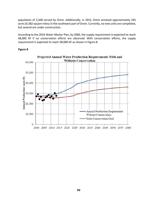population of 3,508 served by Orem. Additionally, in 2015, Orem annexed approximately 245 acres(0.382 square miles) in the southwest part of Orem. Currently, no new units are completed, but several are under construction.

According to the 2016 Water Master Plan, by 2060, the supply requirement is expected to reach 48,000 AF if no conservation efforts are observed. With conservation efforts, the supply requirement is expected to reach 38,000 AF as shown in Figure 8.



#### **Figure 8**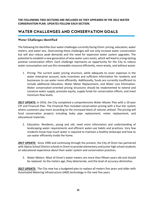**THE FOLLOWING TWO SECTIONS ARE INCLUDED AS THEY APPEARED IN THE 2012 WATER CONSERVATION PLAN. UPDATES FOLLOW EACH SECTION.**

# **WATER CHALLENGES AND CONSERVATION GOALS**

## **Water Challenges Identified**

The following list identifiesfour water challenges currently facing Orem: pricing, education, water meters, and water loss. Overcoming these challenges will not only increase water conservation but will also reduce peak demands and the need for expensive water system upgrades. The potential to establish a new generation of wise water users exists, which will lead to a long‐lasting positive conservation effort. Each challenge represents an opportunity for the City to reduce water consumption and use this renewable resource efficiently, more wisely, and without waste.

1. Pricing. The current water pricing structure, while adequate to cover expenses in the water enterprise account, lacks incentives and sufficient information for residents and businesses to use water more efficiently. Additionally, funds are currently insufficient to include additional Education, Water Meter Replacement, and Water Loss Elimination. Water conservation‐oriented pricing structures should be implemented to extend and conserve water supply, promote equity, supply funds for conservation efforts, and meet minimum flow levels.

**2017 UPDATE:** In 2016, the City completed a comprehensive Water Master Plan with a 10‐year CIP and Financial Plan. The Financial Plan included conservation pricing with a four‐tier system where customers pay more according to the increased block of volume utilized. The pricing will fund conservation projects including leaky pipe replacement, meter replacement, and educational materials.

2. Education. Residents, young and old, need more information and understanding of landscaping water requirements and efficient water-use habits and practices. Very few residents know how much water is required to maintain a healthy landscape and how to use water efficiently inside the home.

**2017 UPDATE:** Since 1990 and continuing through the present, the City of Orem has partnered with Alpine School District schools in Orem to provide elementary and junior high school students an educational experience about their water system and conservation practices.

3. Water Meters. Most of Orem's water meters are more than fifteen years old and should be replaced. As the meters age, they deteriorate, and the level of accuracy diminishes.

**2017 UPDATE:** The City now has a budgeted plan to replace all meters five years and older with Automated Metering Infrastructure (AMI) technology in the next five years.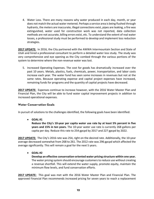4. Water Loss. There are many reasons why water produced in each day, month, or year does not match the actual water metered. Perhaps a service area is being flushed through hydrants, the meters are inaccurate, illegal connections exist, pipes are leaking, a fire was extinguished, water used for construction work was not reported, data collection methods are not accurate, billing errors exist, etc. To understand the extent of real water losses, a professional study must be performed to develop and implement loss reduction strategies.

**2017 UPDATE:** In 2016, the City partnered with the AWWA Intermountain Section and State of Utah and hired a professional consultant to perform a detailed water loss study. The study was very comprehensive and eye opening as the City combed through the various portions of the system to determine where the non-revenue water was lost.

5. Increased Operating Expenses. The cost for goods has dramatically increased over the past 10 years. Metals, plastics, fuels, chemicals, power, transportation, and labor costs increase each year. The water fund has seen some increases in revenues but not at the same rates. Because operating expense and capital project expenses have increased, remaining funds for programs and the quantity of capital projects have decreased.

**2017 UPDATE:** Expenses continue to increase however, with the 2016 Water Master Plan and Financial Plan, the City will be able to fund water capital improvement projects in addition to increased operational expenses.

# **Water Conservation Goals**

In pursuit of solutions to the challenges identified, the following goals have been identified:

**GOAL #1**

**Reduce the City's 10‐year per capita water use rate by at least 5% percent in five years and 15% in ten years.** The 10‐year water use rate is currently 268 gallons per capita per day. Reduce this rate to 254 gpcpd by 2017 and 227 gpcpd by 2022.

**2017 UPDATE:** The City's 2016 rate was 254, right on the desired rate. Additionally, the 10‐year average decreased somewhat from 268 to 261. The 2012 rate was 296 gpcpd which affected the average significantly. This will remain a goal for the next 5 years.

**GOAL #2**

**Develop an effective conservation‐oriented water pricing structure within one year.** The water pricing system should encourage customers to reduce use without creating a revenue shortfall. This will extend the water supply, promote equity, maintain the minimum flow levels, and fund conservation efforts.

**2017 UPDATE:** This goal was met with the 2016 Water Master Plan and Financial Plan. The approved Financial Plan recommends increased pricing for seven years to reach a replacement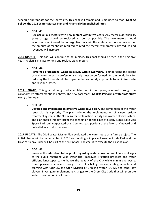schedule appropriate for the utility size. This goal will remain and is modified to read: **Goal #2 Follow the 2016 Water Master Plan and Financial Plan published rates.**

**GOAL #3**

**Replace all old meters with new meters within five years.** Any meter older than 15 years of age should be replaced as soon as possible. The new meters should incorporate radio‐read technology. Not only will the meters be more accurate, but the amount of manhours required to read the meters will dramatically reduce and revenues will increase.

**2017 UPDATE:** This goal will continue to be in place. This goal should be met in the next five years. A plan is in place to fund and replace aging meters.

**GOAL #4**

**Perform a professional water loss study within two years.** To understand the extent of real water losses, a professional study must be performed. Recommendations for reducing the losses should be implemented as quickly as possible to minimize waste and revenue losses.

**2017 UPDATE:** This goal, although not completed within two years, was met through the collaborative efforts mentioned above. The new goal reads**: Goal #4 Perform a water loss study every other year.**

**GOAL #5**

**Develop and implement an effective water reuse plan.** The completion of the water reuse plan is a priority. The plan includes the implementation of a new tertiary treatment system at the Orem Water Reclamation Facility and water delivery system. The plan should initially target the connection to the Links at Sleepy Ridge, Lake Side Sports Park, unincorporated Utah County areas, portions of the Town of Vineyard, and potential local industrial users.

**2017 UPDATE**: The 2016 Water Master Plan evaluated the water reuse as a future project. The initial phases will be implemented in 2018 and funding is in place. Lakeside Sports Park and the Links at Sleepy Ridge will be part of the first phase. The goal is to execute the existing plan.

**GOAL #6**

**Increase the education to the public regarding water conservation.** Educate all ages of the public regarding wise water use. Improved irrigation practices and water efficient landscapes can enhance the beauty of the City while minimizing waste. Develop ways to educate through the utility billing process, visiting schools, and teaming with CUWCD, the Utah Division of Drinking Water (DDW), and other key players. Investigate implementing changes to the Orem City Code that will promote water conservation in all zones.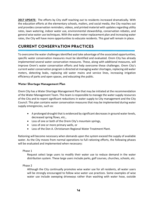**2017 UPDATE:** The efforts by City staff reaching out to residents increased dramatically. With the education efforts at the elementary schools, mailers, and social media, the City reaches out and provides conservation reminders, videos, and printed material with updates regarding utility rates, lawn watering, indoor water use, environmental stewardship, conservation rebates, and general wise water use techniques. With the water meter replacement plan and increasing water rates, the City will have more opportunities to educate residents. This goal will remain in place.

# **CURRENT CONSERVATION PRACTICES**

To overcome the water challengesidentified and take advantage of the associated opportunities, specific water conservation measures must be identified and evaluated. Orem City has already implemented several water conservation measures. These, along with additional measures, will improve Orem's water conservation efforts and help overcome these challenges. Orem City's current water conservation program is directed at managing water shortages, replacing old water meters, detecting leaks, replacing old water mains and service lines, increasing irrigation efficiency of parks and open spaces, and educating the public.

# **Water Shortage Management Plan**

Orem City has a Water Shortage Management Plan that may be initiated at the recommendation of the Water Management Team. This team isresponsible to manage the water supply resources of the City and to report significant reductions in water supply to City management and the City Council. This plan contains water conservation measures that may be implemented during water supply emergencies, such as:

- A prolonged drought that is evidenced by significant decreasesin ground water levels, decreased spring flows, etc.,
- Loss of one or both of the Orem City's mountain springs,
- Loss of one or more primary wells, or
- Loss of the Don A. Christiansen Regional Water Treatment Plant.

Rationing will become necessary when demands upon the system exceed the supply of available water. As the City moves from normal operations to full rationing efforts, the following phases will be evaluated and implemented when necessary:

## Phase 1

Request select large users to modify their water use to reduce demand in the water distribution system. These large users include parks, golf courses, churches, schools, etc.

Phase 2

Although the City continually promotes wise water use for all residents, all water users will be strongly encouraged to follow wise water use practices. Some examples of wise water use include sweeping driveways rather than washing with water hose, outside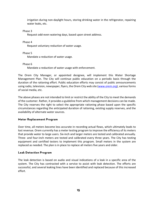irrigation during non‐daylight hours, storing drinking water in the refrigerator, repairing water leaks, etc.

Phase 3

Request odd‐even watering days, based upon street address.

Phase 4

Request voluntary reduction of water usage.

Phase 5

Mandate a reduction of water usage.

Phase 6

Mandate a reduction of water usage with enforcement.

The Orem City Manager, or appointed designee, will implement this Water Shortage Management Plan. The City will continue public education on a periodic basis through the duration of the rationing effort. Public education efforts may consist of public announcements using radio, television, newspaper, flyers, the Orem City web site (www.orem.org), various forms of social media, etc.

The above phases are not intended to limit or restrict the ability of the City to meet the demands of the customer. Rather, it provides a guideline from which management decisions can be made. The City reserves the right to select the appropriate rationing phase based upon the specific circumstances regarding the anticipated duration of rationing, existing supply reserves, and the availability of alternate water sources.

# **Meter Replacement Program**

Over time, all meters become less accurate in recording actual flows, which ultimately leads to lost revenue. Orem currently has a meter testing program to improve the efficiency of its meters that provide water to large users. Six‐inch and larger meters are tested and calibrated annually. Three‐ and four‐inch meters are tested and calibrated every three years. The City has testing equipment and certified testers to implement this program. Small meters in the system are replaced as needed. The plan is in place to replace all meters five years and older.

# **Leak Detection Program**

The leak detection is based on audio and visual indications of a leak in a specific area of the system. The City has contracted with a service to assist with leak detection. The efforts are successful, and several leaking lines have been identified and replaced because of this increased effort.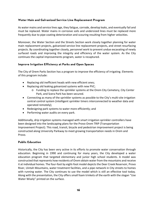# **Water Main and Galvanized Service Line Replacement Program**

As water mains and service lines age, they fatigue, corrode, develop leaks, and eventually fail and must be replaced. Water mains in corrosive soils and undersized lines must be replaced more frequently due to pipe coating deterioration and scouring resulting from higher velocities.

Moreover, the Water Section and the Streets Section work closely together planning for water main replacement projects, galvanized service line replacement projects, and street resurfacing projects. By coordinating together closely, personnel work to prevent undue excavating of newly surfaced roads and improving the integrity and efficiency of the water system. As the City continues the capital improvements program, water is recaptured.

## **Improve Irrigation Efficiency at Parks and Open Spaces**

The City of Orem Parks Section has a program to improve the efficiency of irrigating. Elements of this program include:

- Replacing old inefficient heads with new efficient ones;
- Replacing old leaking galvanized systems with new PVC;
	- o Funding to replace the sprinkler systems at the Orem City Cemetery, City Center Park, and Scera Park has been secured.
- Connecting as many of the sprinkler systems as possible to the City's multi‐site irrigation central control system (intelligent sprinkler timers interconnected to weather data and operated remotely);
- Redesigning park systems to water more efficiently; and
- Performing water audits on every park.

Additionally, drip irrigation systems managed with smart irrigation sprinkler controllers have been designed into the landscaping plans for the Provo Orem TRIP (Transportation Improvement Project). This road, transit, bicycle and pedestrian improvement project is being constructed along University Parkway to meet growing transportation needs in Orem and Provo.

## **Public Education**

Historically, the City has been very active in its efforts to promote water conservation through education. Beginning in 1990 and continuing for many years, the City developed a water education program that targeted elementary and junior high school students. A model was constructed that represents how residents of Orem obtain water from the mountains and receive it at individual homes. The four‐foot by eight‐foot model depicts the Deer Creek Reservoir, Provo River, Uintah Mountains, water treatment facilities, and a pipe network in City streets to homes with running water. The City continues to use the model which is still an effective tool today. Along with the presentation, the City offers small foam trinkets of the earth with the slogan "Use Water Wisely" printed on the surface.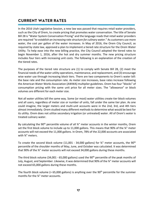# **CURRENT WATER RATES**

In the 2016 Utah Legislative Session, a new law was passed that requires retail water providers, such as the City of Orem, to create pricing that promotes water conservation. The title of Senate Bill 28 is "Water System Conservation Pricing" and the language reads that retail water providers are required "*to establish an increasing rate structure for culinary water*." As customers use more water, the cost per gallon of the water increases. In May of 2016, the Orem City Council, as required by state law, approved a plan to implement a tiered rate structure for the Orem Water Utility. To help ease into the new billing practice, the City Council adopted the tiered rates to begin November 1, 2016, after the hot and dry summer months. The new pricing structure includes four tiers with increasing unit costs. The following is an explanation of the creation of the tiered rates.

The purposes of the tiered rate structure are (1) to comply with Senate Bill 28, (2) meet the financial needs of the water utility operations, maintenance, and replacement, and (3) encourage wise water use through increasing block tiers. There are two components to Orem's water bill: the base rate and the consumption rate. As meter size increases, base rates increase following the American Water Works Association (AWWA) multiplier guidelines. Orem has four "blocks" of consumption pricing with the same unit price for all meter sizes. The "allowance" or block volumes are different for each meter size.

Not all water utilities bill the same way. Some (or most) water utilities create tier block volumes and all users, regardless of meter size or number of units, fall under the same tier plan. As one could imagine, the larger meters and multi‐unit accounts were in the 2nd, 3rd, and 4th tiers almost immediately. Orem studied many different methods to determine what would be best for its utility. Orem does not utilize secondary irrigation (or untreated) water. All of Orem's water is treated culinary water.

By calculating the 90<sup>th</sup> percentile volume of all ¾" meter accounts in the winter months, Orem set the first block volume to include up to 11,000 gallons. This means that 90% of the ¾" meter accounts will not exceed the 11,000 gallons. In Orem, 78% of the 22,000 accounts are associated with ¾" meters.

To create the second block volume (11,001 - 34,000 gallons) for  $\frac{3}{4}$ " meter accounts, the 90<sup>th</sup> percentile of the shoulder months of May, June, and October was calculated. It was determined that 90% of the ¾" meter accounts will not exceed 34,000 gallons during these months.

The third block volume (34,001 - 65,000 gallons) used the 90<sup>th</sup> percentile of the peak months of July, August, and September. Likewise, it was determined that 90% of the ¾" meter accounts will not exceed 65,000 gallons during these months.

The fourth block volume ( $> 65,000$  gallons) is anything over the 90<sup>th</sup> percentile for the summer months for the ¾" meter accounts.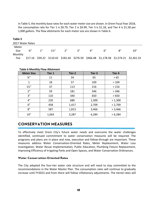In Table 5, the monthly base rates for each water meter size are shown. In Orem Fiscal Year 2018, the consumptive rate for Tier 1 is \$0.79, Tier 2 is \$0.99, Tier 3 is \$1.18, and Tier 4 is \$1.58 per 1,000 gallons. The flow allotments for each meter size are shown in Table 6.

| Table 5          |                 |    |                |                    |      |    |    |                                                                                      |     |
|------------------|-----------------|----|----------------|--------------------|------|----|----|--------------------------------------------------------------------------------------|-----|
| 2017 Water Rates |                 |    |                |                    |      |    |    |                                                                                      |     |
| Meter            |                 |    |                |                    |      |    |    |                                                                                      |     |
| <b>Size</b>      | $\frac{3}{4}$ " | 1" | $1\frac{1}{2}$ | $2^{\prime\prime}$ | יי 2 | Δ" | 6" | ייפ                                                                                  | 10" |
| Monthly          |                 |    |                |                    |      |    |    |                                                                                      |     |
| Fee              |                 |    |                |                    |      |    |    | \$17.16 \$39.22 \$110.42 \$181.64 \$276.59 \$466.48 \$1,178.58 \$1,574.21 \$2,361.32 |     |

**Table 6 Monthly Flow Allotment**

| <b>Meter Size</b> | Tier 1 | Tier 2 | Tier <sub>3</sub> | Tier 4  |
|-------------------|--------|--------|-------------------|---------|
| $\frac{3}{4}$ "   | 11     | 34     | 65                | > 65    |
| 1                 | 18     | 57     | 109               | >109    |
| $1\frac{1}{2}$    | 37     | 113    | 216               | > 216   |
| 2 <sup>n</sup>    | 59     | 181    | 346               | > 346   |
| 3''               | 110    | 340    | 650               | >650    |
| 4"                | 220    | 680    | 1,300             | > 1,300 |
| 6"                | 458    | 1,417  | 2,709             | > 2,709 |
| 8''               | 587    | 1,813  | 3,466             | > 3,466 |
| 10''              | 1,063  | 3,287  | 6,284             | > 6,284 |

# **CONSERVATION MEASURES**

To effectively meet Orem City's future water needs and overcome the water challenges identified, continued commitment to water conservation measures will be required. The programs and plans are in place and now, execution and follow‐through are important. These measures address Water Conservation‐Oriented Rates, Meter Replacement, Water Loss Investigation, Water Reuse Implementation, Public Education, Plumbing Fixture Replacement, Improving Efficiency of Irrigating Parks and Open Spaces, and Water Conservation Ordinances.

## **Water Conservation-Oriented Rates**

The City adopted the four‐tier water rate structure and will need to stay committed to the recommendations in the Water Master Plan. The consumption rates will continue to gradually increase until FY2023 and from there will follow inflationary adjustments. The tiered rates will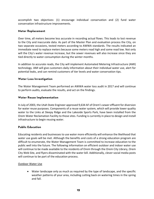accomplish two objectives: (1) encourage individual conservation and (2) fund water conservation infrastructure improvements.

# **Meter Replacement**

Over time, all meters become less accurate in recording actual flows. This leads to lost revenue to the City and inaccurate data. As part of the Master Plan and evaluation process the City, on two separate occasions, tested meters according to AWWA standards. The results indicated an immediate need to replace meters because some meters read high and some read low. Not only will the City's water revenue increase, but the sewer revenues will also increase since they are tied directly to water consumption during the winter months.

In addition to accurate reads, the City will implement Automated Metering Infrastructure (AMI) technology. AMI will give customers daily information about their individual water use, alert for potential leaks, and can remind customers of tier levels and water conservation tips.

# **Water Loss Investigation**

The Water Management Team performed an AWWA water loss audit in 2017 and will continue to perform audits, evaluate the results, and act on the findings.

## **Water Reuse Implementation**

In July of 2003, the Utah State Engineer approved 9,634 AF of Orem'ssewer effluent for diversion for water reuse purposes. Components of a reuse water system, which will provide lower quality water to the Links at Sleepy Ridge and the Lakeside Sports Park, have been installed from the Orem Water Reclamation Facility to those sites. Funding is currently in place to design and install infrastructure to begin reusing water.

## **Public Education**

Educating residents and businesses to use water more efficiently will enhance the likelihood that water use goals will be met. Although the benefits and costs of a strong education program are difficult to enumerate, the Water Management Team is committed to increase education to the public well into the future. The following information on efficient outdoor and indoor water use will continue to be made available to the residents of Orem through the Orem City Library, Orem City Web Site, and flyers disseminated with the water bill. Additionally, clever social media posts will continue to be part of the education process.

## Outdoor Water Use

 Water landscape only as much as required by the type of landscape, and the specific weather patterns of your area, including cutting back on watering times in the spring and fall.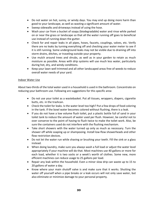- Do not water on hot, sunny, or windy days. You may end up doing more harm than good to your landscape, as well as wasting a significant amount of water.
- Sweep sidewalks and driveways instead of using the hose.
- Wash your car from a bucket of soapy (biodegradable) water and rinse while parked on or near the grass or landscape so that all the water running off goes to beneficial use instead of running down the gutter.
- Check for and repair leaks in all pipes, hoses, faucets, couplings, valves, etc. Verify there are no leaks by turning everything off and checking your water meter to see if it is still running. Some underground leaks may not be visible due to draining off into storm drains, ditches, or traveling outside your property.
- Use mulch around trees and shrubs, as well as in your garden to retain as much moisture as possible. Areas with drip systems will use much less water, particularly during hot, dry, and windy conditions.
- Keep your lawn well trimmed and all other landscaped areas free of weeds to reduce overall water needs of your yard.

#### Indoor Water Use

About two-thirds of the total water used in a household is used in the bathroom. Concentrate on reducing your bathroom use. Following are suggestions for this specific area:

- Do not use your toilet as a wastebasket. Put all tissues, wrappers, diapers, cigarette butts, etc. in the trashcan.
- Check the toilet for leaks. Is the water level too high? Put a few drops of food coloring in the tank. If the bowl water becomes colored without flushing, there is a leak.
- If you do not have a low volume flush toilet, put a plastic bottle full of sand in your toilet tank to reduce the amount of water used per flush. However, be careful not to over conserve to the point of having to flush twice to make the toilet work. Also, be sure the containers used do not interfere with the flushing mechanism.
- Take short showers with the water turned up only as much as necessary. Turn the shower off while soaping up or shampooing. Install low‐flow showerheads and other flow restriction devices.
- Do not let the water run while shaving or brushing your teeth. Fill the sink or a glass instead.
- When doing laundry, make sure you always wash a full load or adjust the water level appropriately if your machine will do that. Most machines use 40 gallons or more for each load, whether it is two socks or a week's worth of clothes. Some new, more efficient machines can reduce usage to 25 gallons per load.
- Repair any leak within the household. Even a minor slow drip can waste up to 15 to 20 gallons of water a day.
- Know where your main shutoff valve is and make sure that it works. Shutting the water off yourself when a pipe breaks or a leak occurs will not only save water, but also eliminate or minimize damage to your personal property.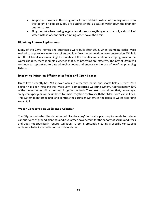- Keep a jar of water in the refrigerator for a cold drink instead of running water from the tap until it gets cold. You are putting several glasses of water down the drain for one cold drink.
- Plug the sink when rinsing vegetables, dishes, or anything else. Use only a sink full of water instead of continually running water down the drain.

# **Plumbing Fixture Replacement**

Many of the City's homes and businesses were built after 1992, when plumbing codes were revised to require low water‐use toilets and low‐flow showerheads in new construction. While it is difficult to calculate meaningful estimates of the benefits and costs of such programs on the water use rate, there is ample evidence that such programs are effective. The City of Orem will continue to support up to date plumbing codes and encourage the use of low‐flow plumbing fixtures.

# **Improving Irrigation Efficiency at Parks and Open Spaces**

Orem City presently has 263 mowed acres in cemetery, parks, and sports fields. Orem's Park Section has been installing the "Maxi Com" computerized watering system. Approximately 40% of the mowed acres utilize the smart irrigation controls. The current plan showsthat, on average, six systems per year will be updated to smart irrigation controls with the "Maxi Com" capabilities. This system monitors rainfall and controls the sprinkler systems in the parks to water according to rainfall.

## **Water Conservation Ordinance Adoption**

The City has adjusted the definition of "Landscaping" in its site plan requirements to include various types of ground plantings and gives green cover credit for the canopy of shrubs and trees and does not specifically require turf grass. Orem is presently creating a specific xeriscaping ordinance to be included in future code updates.